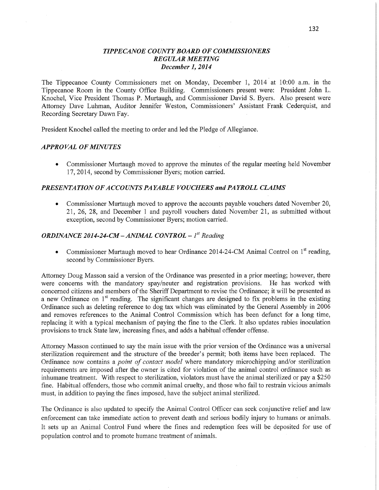## *TIPPE CANOE COUNTY BOARD* OF *COMMISSIONERS REGULAR MEETING December* 1, *2014*

The Tippecanoe County Commissioners met on Monday, December 1, 2014 at 10:00 am. in the Tippecanoe Room in the County Office Building. Commissioners present were: President John L. Knochel, Vice President Thomas P. Murtaugh, and Commissioner David S. Byers. Also present were Attorney Dave Luhman, Auditor Jennifer Weston, Commissioners' Assistant Frank Cederquist, and Recording Secretary Dawn Fay.

President Knochel called the meeting to order and led the Pledge of Allegiance.

### *APPROVAL* OF *MINUTES*

*0* Commissioner Murtaugh moved to approve the minutes of the regular meeting held November 17, 2014, second by Commissioner Byers; motion carried.

# *PRESENTATION* OF *ACCOUNT S PAYABLE VOUCHERS* and *PAYROLL CLAIMS*

**0** Commissioner Murtaugh moved to approve the accounts payable vouchers dated November 20, 21, 26, 28, and December 1 and payroll vouchers dated November 21, as submitted without exception, second by Commissioner Byers; motion carried.

# *ORDINANCE 2014-24-CM* **—** *ANIflML CONTROL —* 1" *Reading*

• Commissioner Murtaugh moved to hear Ordinance 2014-24-CM Animal Control on 1<sup>st</sup> reading, second by Commissioner Byers.

Attorney Doug Masson said a version of the Ordinance was presented in a prior meeting; however, there were concerns with the mandatory spay/neuter and registration provisions. He has worked with concerned citizens and members of the **Sheriff** Department to revise the Ordinance; it will be presented as a new Ordinance on  $1<sup>st</sup>$  reading. The significant changes are designed to fix problems in the existing Ordinance such as deleting reference to dog tax which was eliminated by the General Assembly in 2006 and removes references to the Animal Control Commission which has been defunct for a long time, replacing it with a typical mechanism of paying the fine to the Clerk. It also updates rabies inoculation provisions to track State law, increasing fines, and adds a habitual offender offense.

Attorney Masson continued to say the main issue with the prior version of the Ordinance was a universal sterilization requirement and the structure of the breeder's permit; both items have been replaced. The Ordinance now contains <sup>a</sup>*point* of *contact model* Where mandatory microchipping and/or sterilization requirements are imposed after the owner is cited for violation of the animal control ordinance such as inhumane treatment. With respect to sterilization, Violators must have the animal sterilized or pay <sup>a</sup>\$250 fine. Habitual offenders, those who commit animal cruelty, and those who fail to restrain vicious animals must, in addition to paying the **fines** imposed, have the subject animal sterilized.

The Ordinance is also updated to specify the Animal Control Officer can seek conjunctive relief and law enforcement can take immediate action to prevent death and serious bodily injury to humans or animals. It sets up an Animal Control Fund where the fines and redemption fees will be deposited for use of population control and to promote humane treatment of animals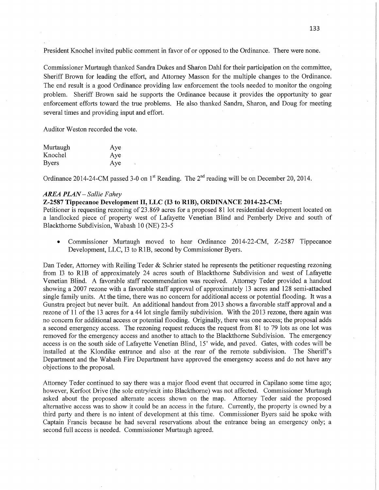President Knochel invited public comment in favor of or opposed to the Ordinance. There were none.

Commissioner Murtaugh thanked Sandra Dukes and Sharon Dahl for their participation on the committee, Sheriff Brown for leading the effort, and Attorney Masson for the multiple changes to the Ordinance. The end result is a good Ordinance providing law enforcement the tools needed to monitor the ongoing problem. Sheriff Brown said he supports the Ordinance because it providés the opportunity to gear enforcement efforts toward the true problems. He also thanked Sandra, Sharon, and Doug for meeting several times and providing input and effort.

Auditor Weston recorded the vote.

| Murtaugh     | Aye |
|--------------|-----|
| Knochel      | Aye |
| <b>Byers</b> | Aye |

Ordinance 2014-24-CM passed 3-0 on  $1<sup>st</sup>$  Reading. The  $2<sup>nd</sup>$  reading will be on December 20, 2014.

### *AREA PLAN* — *Sallie F ahey*

# **Z-2587 Tippecanoe Development** II, LLC (I3 to **RIB), ORDINANCE 2014-22-CM:**

Petitioner is requesting rezoning of 23. 869 acres for a proposed 81 lot residential development located on a landlocked piece of property west of Lafayette Venetian Blind and Pemberly Drive and south of Blackthorne Subdivision, Wabash 10 (NE) 23-5

**0** Commissioner Murtaugh moved to hear Ordinance 2014-22-CM, Z-2587 Tippecanoe Development, LLC, I3 to R1B, second by Commissioner Byers.

Dan Teder, Attorney with Reiling Teder & Schrier stated he represents the petitioner requesting rezoning from 13 to RIB of approximately 24 acres south of Blackthorne Subdivision and west of Lafayette Venetian Blind. A favorable **staff** recommendation was received. Attorney Teder provided **a** handout showing a 2007 rezone with a favorable staff approval of approximately 13 acres and 128 semi—attached single family units. At the time, there was no concern for additional access or potential flooding. It was <sup>a</sup> Gunstra project but never built. An additional handout from 2013 shows a favorable staff approval and <sup>a</sup> rezone of 11 of the 13 acres for a 44 lot single family subdivision. With the 2013 rezone, there again was no concern for additional access or potential flooding. Originally, there was one access; the proposal adds a second emergency access. The rezoning request reduces the request from 81 to 79 lots as one lot was removed for the emergency access and another to attach to the Blackthorne Subdivision. The emergency access is on the south side of Lafayette Venetian Blind, 15' wide, and paved. Gates, with codes will be installed at the Klondike entrance and also at the rear of the remote subdivision. The Sheriff's Department and the Wabash Fire Department have approved the emergency access and do not have any objections to the proposal.

Attorney Teder continued to say there was a major flood event that occurred in Capilano some time ago; however, Kerfoot Drive (the sole entry/exit into Blackthorne) was not affected. Commissioner Murtaugh asked about the proposed alternate access shown on the map. Attorney Teder said the proposed alternative access was to show it could be an access in the future. Currently, the property is owned by a third party and there is no intent of development at this time. Commissioner Byers said he spoke with Captain Francis because he had several reservations about the entrance being an emergency only; a second full access is needed. Commissioner Murtaugh agreed.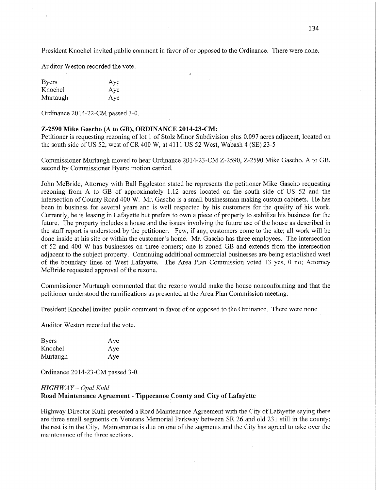President Knochel invited public comment in favor of or opposed to the Ordinance. There were none.

Auditor Weston recorded the vote.

| <b>Byers</b> |   | Aye |
|--------------|---|-----|
| Knochel      |   | Aye |
| Murtaugh     | Ń | Aye |

Ordinance 2014-22-CM passed 3-0.

### **Z-2590 Mike Gascho** (A to GB), **ORDINANCE 2014-23-CM:**

Petitioner is requesting rezoning of lot 1 of Stolz Minor Subdivision plus 0.097 acres adjacent, located on the south side of US 52, west of CR 400 W, at 4111 US 52 West, Wabash 4 (SE) 23—5

Commissioner Murtaugh moved to hear Ordinance 2014-23-CM Z-2590, Z-2590 Mike Gascho, A to GB, second by Commissioner Byers; motion carried.

John McBride, Attorney with Ball Eggleston stated he represents the petitioner Mike Gascho requesting rezoning from **A** to GB of approximately 1.12 acres located on the south side of US 52 and the intersection of County Road 400 W. Mr. Gascho is a small businessman making custom cabinets. He has been in business for several years and is well respected by his customers for the quality of his work. Currently, he is leasing in Lafayette but prefers to own <sup>a</sup>piece of property to stabilize his business for the future. The property includes a house and the issues involving the future use of the house as described in the staff report is understood by the petitioner. Few, if any, customers come to the site; all work will be done inside at his site or within the customer's home. Mr. Gascho has three employees. The intersection of 52 and 400 **W** has businesses on three corners; one is zoned GB and extends from the intersection adjacent to the subject property. Continuing additional commercial businesses are being established west of the boundary lines of West Lafayette. The Area Plan Commission voted 13 yes, 0 no; Attorney McBride requested approval of the rezone.

Commissioner Murtaugh commented that the rezone would make the house nonconforming and that the petitioner understood the ramifications as presented at the Area Plan Commission meeting.

President Knochel invited public comment in favor of or opposed to the Ordinance. There were none.

Auditor Weston recorded the vote.

| <b>Byers</b> | Aye |
|--------------|-----|
| Knochel      | Aye |
| Murtaugh     | Aye |

Ordinance 2014-23-CM passed 3-0.

## *HIGHWAY* **—** *Opal Kuhl*

### **Road** Maintenance **Agreement** - Tippecanoe **County** and **City** of **Lafayette**

Highway Director Kuhl presented a Road Maintenance Agreement with the City of Lafayette saying there are three small segments on Veterans Memorial Parkway between SR 26 and old 231 still in the county; the rest is in the City. Maintenance is due on one of the segments and the City has agreed to take over the maintenance of the three sections,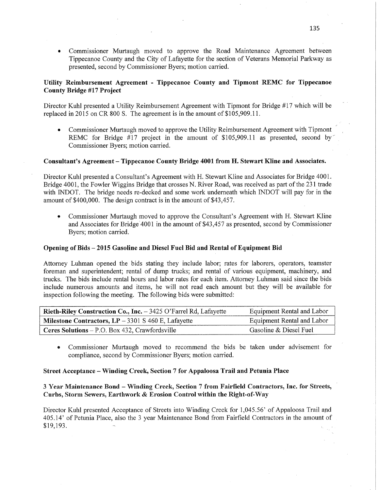**0** Commissioner Murtaugh moved to approve the Road Maintenance Agreement between Tippecanoe County and the City of Lafayette for the section of Veterans Memorial Parkway as presented, second by Commissioner Byers; motion carried.

## **Utility** Reimbursement **Agreement** *-* **Tippecanoe** County and Tipmont REMC for **Tippecanoe County Bridge** #17 **Project**

Director Kuhl presented a Utility Reimbursement Agreement with Tipmont for Bridge #17 which will be replaced in 2015 on CR 800 S. The agreement is in the amount of \$105,909.11.

Commissioner Murtaugh moved to approve the Utility Reimbursement Agreement with Tipmont REMC for Bridge #17 project in the amount of \$105,909.11 as presented, second by Commissioner Byers; motion carried.

### Consultant's **Agreement — Tippecanoe County Bridge 4001 from** H. **Stewart** Kline and **Associates.**

Director Kuhl presented a Consultant's Agreement with H. Stewart Kline and Associates for Bridge 4001. Bridge 4001, the Fowler Wiggins Bridge that crosses N. River Road, was received as part of the 231 trade with INDOT. The bridge needs re-decked and some work underneath which INDOT will pay for in the amount of \$400,000. The design contract is in the amount of \$43,457.

*9* Commissioner Murtaugh moved to approve the Consultant's Agreement with H. Stewart Kline and Associates for Bridge'4001 in the amount of \$43,457 as presented, second by Commissioner Byers; motion carried.

### Opening of Bids *—* **2015** Gasoline and **Diesel Fuel** Bid and Rental of Equipment Bid

Attorney Luhman opened the bids stating they include labor; rates for laborers, operators, teamster foreman and superintendent; rental of dump trucks; and rental of various equipment, machinery, and trucks. The bids include rental hours and labor rates for each item. Attorney Luhman said **since** the bids include numerous amounts and items, he will not read each amount but they will be available for inspection following the meeting. The following bids were submitted:

| Rieth-Riley Construction Co., Inc. - 3425 O'Farrel Rd, Lafayette | Equipment Rental and Labor |
|------------------------------------------------------------------|----------------------------|
| <b>Milestone Contractors, LP</b> $-$ 3301 S 460 E, Lafayette     | Equipment Rental and Labor |
| Ceres Solutions $-$ P.O. Box 432, Crawfordsville                 | Gasoline & Diesel Fuel     |

**0** Commissioner Murtaugh moved to recommend the bids be taken under advisement for compliance, second by Commissioner Byers; motion carried.

#### **Street Acceptance** — Winding **Creek, Section 7** for **Appaloosa Trail** and **Petunia Place**

## 3 **Year Maintenance** Bond **—** Winding **Creek, Section 7** from **Fairfield Contractors, Inc.** for **Streets,** *'*  **Curbs, Storm Sewers, Earthwork & Erosion** Control within the **Right-of-Way**

Director Kuhl presented Acceptance of Streets into Winding Creek for 1,045.56' of Appaloosa Trail and 405.14' of Petunia Place, also the 3 year Maintenance Bond from Fairfield Contractors in the amount of \$19,193 *w* k '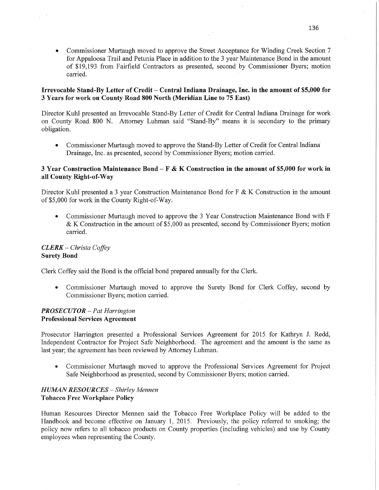*0* Commissioner Murtaugh moved to approve the Street Acceptance for Winding Creek Section **7**  for Appaloosa Trail and Petunia Place in addition to the 3 year Maintenance Bond in the amount of \$19,193 from Fairfield Contractors as presented, second by Commissioner Byers; motion carried.

### **Irrevocable Stand-By Letter** of **Credit** *—* **Central Indiana Drainage, Inc.** in the amount of \$5,000'for 3 **Years** for **work** on **County Road** 800 **North** (Meridian Line to 75 East)

Director Kuhl presented an Irrevocable Stand-By Letter of Credit for Central Indiana Drainage for work on County Road 800 N. Attorney Luhman said "Stand-By" means it is secondary to the primary obligation.

• Commissioner Murtaugh moved to approve the Stand-By Letter of Credit for Central Indiana<sup>†</sup> Drainage, Inc. as presented, second by Commissioner Byers; motion carried.

### 3 **Year Construction** Maintenance **Bond — F** & K **Construction** in the **amount** of **\$5,000** for **work** in all County Right-of-Way

Director Kuhl presented a 3 year Construction Maintenance Bond for F & K Construction in the amount of \$5,000 for work in the County Right-of-Way.

**0** Commissioner Murtaugh moved to approve the 3 Year Construction Maintenance Bond with F & K Construction in the amount of \$5,000 as presented, second by Commissioner Byers; motion carried.

## *CLERK* — *Christa Cofley*  **Surety** Bond

Clerk Coffey said the Bond is the official bond prepared annually for the Clerk.

**0** Commissioner Murtaugh moved to approve the Surety Bond for Clerk Coffey, second by Commissioner Byers; motion carried.

## *PROSECUTOR – Pat Harrington* Professional **Services Agreement**

Prosecutor Harrington presented a Professional Services Agreement for 2015 for Kathryn J. Redd, Independent Contractor for Project Safe Neighborhood. The agreement and the amount is the same as last year; the agreement has been reviewed by Attorney Luhman.

**0** Commissioner Murtaugh moved to approve the Professional Services Agreement for Project Safe Neighborhood as presented, second by Commissioner Byers; motion carried.

## *HUMAN RESOURCES — Shirley Mennen*  **Tobacco** Free **Workplace Policy**

Human Resources Director Mennen said the Tobacco Free Workplace Policy will be added to the Handbook and become effective on January 1, 2015. Previously, the policy referred to smoking; the policy now refers to all tobacco products on County properties (including vehicles) and use by County employees when representing the County.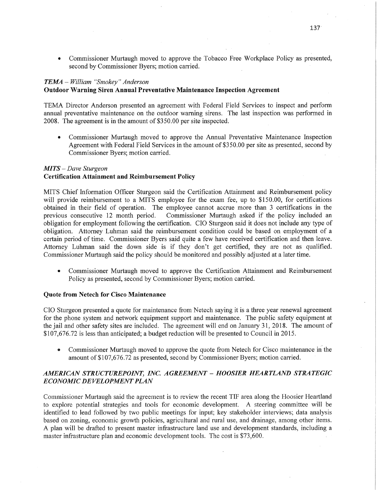**0** Commissioner Murtaugh moved to approve the Tobacco Free Workplace Policy as presented, second by Commissioner Byers; motion carried.

# *TEMA — William "Smokey" Anderson*

## **Outdoor Warning** Siren Annual **Preventative** Maintenance Inspection **Agreement**

TEMA Director Anderson presented an agreement with Federal Field Services to inspect and perform annual preventative maintenance on the outdoor warning sirens. The last inspection was performed in 2008. The agreement is in the amount of \$350.00 per site inspected.

**0** Commissioner Murtaugh moved to approve the **Annual** Preventative Maintenance Inspection Agreement with Federal Field Services in the amount of \$3 50.00 per site as presented, second by Commissioner Byers; motion carried.

#### MI TS —— *Dave Stufgeon*

# **Certification Attainment** and **Reimbursement** Policy

MITS Chief Information Officer Sturgeon said the Certification Attainment and Reimbursement policy will provide reimbursement to a MITS employee for the exam fee, up to \$150.00, for certifications obtained in their field of operation. The employee cannot accrue more than 3 certifications in the previous consecutive 12 month period. Commissioner Murtaugh asked if the policy included an Commissioner Murtaugh asked if the policy included an obligation for employment following the certification. CIO Sturgeon said it does not include any type of obligation. Attorney Luhman said the reimbursement condition could be based on employment of <sup>a</sup> certain period of time. Commissioner Byers said quite a few have received certification and then leave. Attorney Luhman said the down side is if they don't get certified, they are not as qualified. Commissioner Murtaugh said the policy should be monitored and possibly adjusted at a later time.

**0** Commissioner Murtaugh moved to approve the Certification Attainment and Reimbursement Policy as presented, second by Commissioner Byers; motion carried.

#### **Quote from Netech** for **Cisco Maintenance**

CIO Sturgeon presented a quote for maintenance from Netech saying it is a three year renewal agreemen<sup>t</sup> for the phone system and network equipment support and maintenance. The public safety equipment at the jail and other safety sites are included. The agreement will end on January 31, 2018. The amount of \$107,676.72 is less than anticipated; a budget reduction will be presented to Council in 2015.

• Commissioner Murtaugh moved to approve the quote from Netech for Cisco maintenance in the amount of \$107,676.72 as presented, second by Commissioner Byers; motion carried.

# *AMERICAN STRUCTUREPOINT, INC. AGREEMENT* **—** *HOOSIER HEARTLAND STRATEGIC ECONOMIC DEVELOPMENT PLAN*

Commissioner Murtaugh said the agreement is to review the recent TIF area along the Hoosier Heartland to explore potential strategies and tools for economic development. A steering committee will be identified to lead followed by two public meetings for input; key stakeholder interviews; data analysis based on zoning, economic growth policies, agricultural and rural use, and drainage, among other items. **A** plan will be drafted to present master infrastructure land use and development standards, including <sup>a</sup> master infrastructure plan and economic development tools. The cost is \$73,600.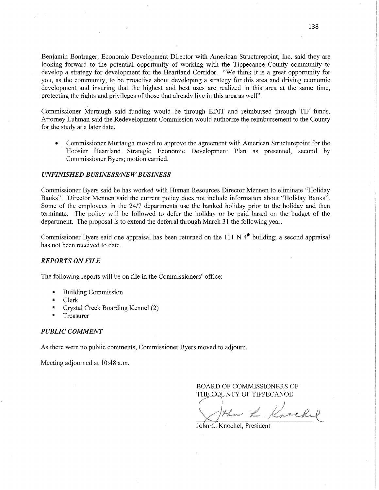Benjamin Bontrager, Economic Development Director with American Structurepoint, Inc. said they are looking forward to the potential opportunity of working with the Tippecanoe County community to develop a strategy for development for the Heartland Corridor. "We think it is a great opportunity for you, as the community, to be proactive about developing a strategy for this area and driving economic development and insuring that the highest and best uses are realized in this area at the same time, protecting the rights and privileges of those that already live in this area as well".

Commissioner Murtaugh said funding would be through EDIT and reimbursed through TIP funds. Attorney Luhman said the Redevelopment Commission would authorize the reimbursement to the County for the study at a later date. '

**0** Commissioner Murtaugh moved to approve the agreement with American Structurepoint for the ' Hoosier Heartland Strategic Economic Development Plan as presented, second by Commissioner Byers; motion carried.

### *UNFINISHED B USINESS/NE W B USINESS*

Commissioner Byers said he has worked with Human Resources Director Memento eliminate "Holiday Banks". Director Mennen said the current policy does not include information about "Holiday Banks". Some of the employees in the 24/7 departments use the banked holiday prior to the holiday and then terminate. The policy will be followed to defer the holiday or be paid based on the budget of the department. The proposal is to extend the deferral through March 31 the following year.

Commissioner Byers said one appraisal has been returned on the 111 N  $4<sup>th</sup>$  building; a second appraisal has not been received to date.

### *REPORTS* ON *FILE*

The following reports will be on file in the Commissioners' office:

- Building Commission
- **I** Clerk
- **I** Crystal Creek Boarding Kennel (2)
- **I** Treasurer

#### *PUBLIC COMMENT*

As there were no public comments, Commissioner Byers moved to adjourn.

Meeting adjourned at 10:48 a.m.

BOARD OF COMMISSIONERS OF THE CQUNTY OF TIPPECANOE

the L. Kneekil

John-*K*. Knochel, President